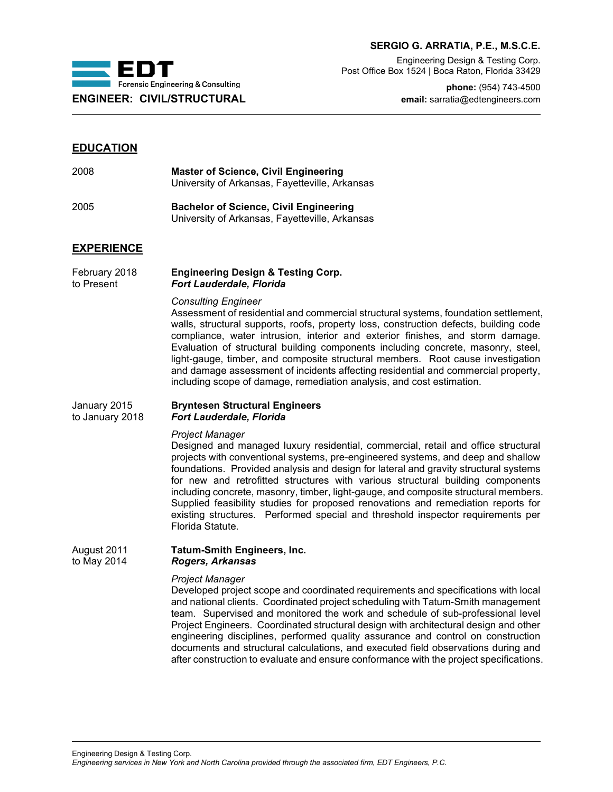

## **SERGIO G. ARRATIA, P.E., M.S.C.E.**

Engineering Design & Testing Corp. Post Office Box 1524 | Boca Raton, Florida 33429

**phone:** (954) 743-4500 **ENGINEER: CIVIL/STRUCTURAL email:** sarratia@edtengineers.com

# **EDUCATION**

| 2008 | <b>Master of Science, Civil Engineering</b><br>University of Arkansas, Fayetteville, Arkansas |
|------|-----------------------------------------------------------------------------------------------|
| 2005 | <b>Bachelor of Science, Civil Engineering</b>                                                 |

# University of Arkansas, Fayetteville, Arkansas

# **EXPERIENCE**

February 2018 **Engineering Design & Testing Corp.**<br>to Present **Fort Lauderdale. Florida Fort Lauderdale, Florida** 

#### *Consulting Engineer*

Assessment of residential and commercial structural systems, foundation settlement, walls, structural supports, roofs, property loss, construction defects, building code compliance, water intrusion, interior and exterior finishes, and storm damage. Evaluation of structural building components including concrete, masonry, steel, light-gauge, timber, and composite structural members. Root cause investigation and damage assessment of incidents affecting residential and commercial property, including scope of damage, remediation analysis, and cost estimation.

## January 2015 **Bryntesen Structural Engineers** to January 2018 *Fort Lauderdale, Florida*

## *Project Manager*

Designed and managed luxury residential, commercial, retail and office structural projects with conventional systems, pre-engineered systems, and deep and shallow foundations. Provided analysis and design for lateral and gravity structural systems for new and retrofitted structures with various structural building components including concrete, masonry, timber, light-gauge, and composite structural members. Supplied feasibility studies for proposed renovations and remediation reports for existing structures. Performed special and threshold inspector requirements per Florida Statute.

#### August 2011 **Tatum-Smith Engineers, Inc.** to May 2014 *Rogers, Arkansas*

## *Project Manager*

Developed project scope and coordinated requirements and specifications with local and national clients. Coordinated project scheduling with Tatum-Smith management team. Supervised and monitored the work and schedule of sub-professional level Project Engineers. Coordinated structural design with architectural design and other engineering disciplines, performed quality assurance and control on construction documents and structural calculations, and executed field observations during and after construction to evaluate and ensure conformance with the project specifications.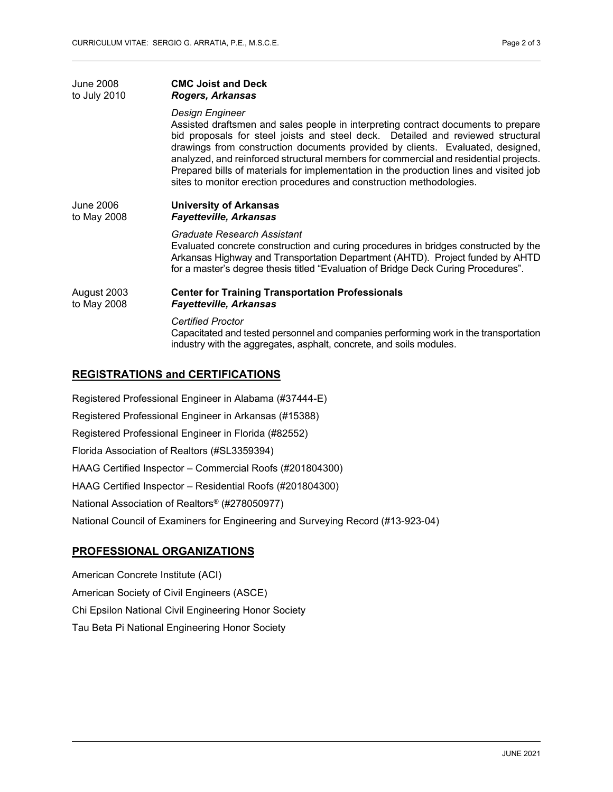| <b>June 2008</b> | <b>CMC Joist and Deck</b>                                                                                                                                                                                                                                                                                                                                                                                                                                                                                                           |
|------------------|-------------------------------------------------------------------------------------------------------------------------------------------------------------------------------------------------------------------------------------------------------------------------------------------------------------------------------------------------------------------------------------------------------------------------------------------------------------------------------------------------------------------------------------|
| to July 2010     | Rogers, Arkansas                                                                                                                                                                                                                                                                                                                                                                                                                                                                                                                    |
|                  | Design Engineer<br>Assisted draftsmen and sales people in interpreting contract documents to prepare<br>bid proposals for steel joists and steel deck. Detailed and reviewed structural<br>drawings from construction documents provided by clients. Evaluated, designed,<br>analyzed, and reinforced structural members for commercial and residential projects.<br>Prepared bills of materials for implementation in the production lines and visited job<br>sites to monitor erection procedures and construction methodologies. |
| <b>June 2006</b> | <b>University of Arkansas</b>                                                                                                                                                                                                                                                                                                                                                                                                                                                                                                       |
| to May 2008      | <b>Fayetteville, Arkansas</b>                                                                                                                                                                                                                                                                                                                                                                                                                                                                                                       |
|                  | Graduate Research Assistant<br>Evaluated concrete construction and curing procedures in bridges constructed by the<br>Arkansas Highway and Transportation Department (AHTD). Project funded by AHTD<br>for a master's degree thesis titled "Evaluation of Bridge Deck Curing Procedures".                                                                                                                                                                                                                                           |
| August 2003      | <b>Center for Training Transportation Professionals</b>                                                                                                                                                                                                                                                                                                                                                                                                                                                                             |
| to May 2008      | <b>Fayetteville, Arkansas</b>                                                                                                                                                                                                                                                                                                                                                                                                                                                                                                       |
|                  | <b>Certified Proctor</b><br>Capacitated and tested personnel and companies performing work in the transportation<br>industry with the aggregates, asphalt, concrete, and soils modules.                                                                                                                                                                                                                                                                                                                                             |

# **REGISTRATIONS and CERTIFICATIONS**

Registered Professional Engineer in Alabama (#37444-E) Registered Professional Engineer in Arkansas (#15388) Registered Professional Engineer in Florida (#82552) Florida Association of Realtors (#SL3359394) HAAG Certified Inspector – Commercial Roofs (#201804300) HAAG Certified Inspector – Residential Roofs (#201804300) National Association of Realtors® (#278050977) National Council of Examiners for Engineering and Surveying Record (#13-923-04)

# **PROFESSIONAL ORGANIZATIONS**

American Concrete Institute (ACI) American Society of Civil Engineers (ASCE) Chi Epsilon National Civil Engineering Honor Society Tau Beta Pi National Engineering Honor Society